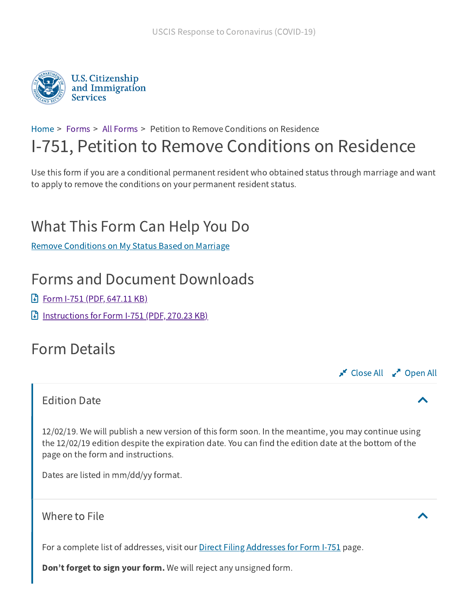

## [Home](https://www.uscis.gov/) > [Forms](https://www.uscis.gov/forms/forms) > All [Forms](https://www.uscis.gov/forms/all-forms) > Petition to Remove Conditions on Residence I-751, Petition to Remove Conditions on Residence

Use this form if you are a conditional permanent resident who obtained status through marriage and want to apply to remove the conditions on your permanent resident status.

# What This Form Can Help You Do

Remove [Conditions](https://www.uscis.gov/forms/explore-my-options/remove-conditions-on-my-status-based-on-marriage) on My Status Based on Marriage

## Forms and Document Downloads

- **Form I-751 (PDF, [647.11](https://www.uscis.gov/sites/default/files/document/forms/i-751.pdf) KB)**
- **[Instructions](https://www.uscis.gov/sites/default/files/document/forms/i-751instr.pdf) for Form I-751 (PDF, 270.23 KB)**

## Form Details

#### **Close All**  $\mathbb{R}^n$  Open All

### Edition Date

12/02/19. We will publish a new version of this form soon. In the meantime, you may continue using the 12/02/19 edition despite the expiration date. You can find the edition date at the bottom of the page on the form and instructions.

Dates are listed in mm/dd/yy format.

Where to File

For a complete list of addresses, visit our Direct Filing [Addresses](https://www.uscis.gov/i-751-direct-filing-addresses) for Form I-751 page.

Don't forget to sign your form. We will reject any unsigned form.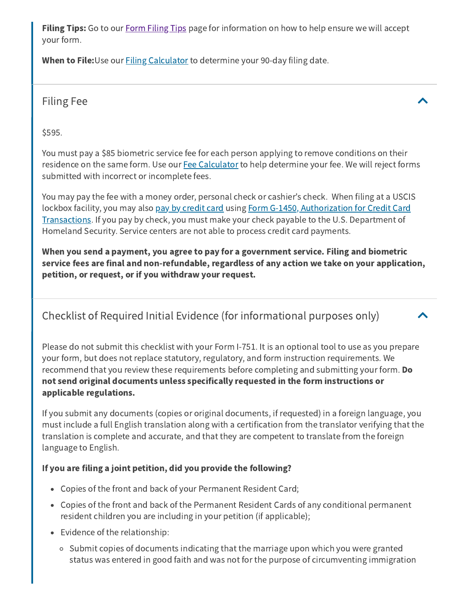**[Filing](https://www.uscis.gov/node/44654) Tips:** Go to our **Form Filing Tips** page for information on how to help ensure we will accept your form.

When to File: Use our **Filing [Calculator](https://www.uscis.gov/forms/filing-calculator-for-form-i-751-filing-jointly-with-your-spouse)** to determine your 90-day filing date.

Filing Fee $\qquad \qquad \blacktriangle$ 

\$595.

You must pay a \$85 biometric service fee for each person applying to remove conditions on their residence on the same form. Use our Fee [Calculator](https://www.uscis.gov/node/71802) to help determine your fee. We will reject forms submitted with incorrect or incomplete fees.

You may pay the fee with a money order, personal check or cashier's check. When filing at a USCIS lockbox facility, you may also [pay by credit](https://www.uscis.gov/node/49829) card using Form G-1450, Authorization for Credit Card Transactions. If you [pay by check,](https://www.uscis.gov/g-1450) you must make your check payable to the U.S. Department of Homeland Security. Service centers are not able to process credit card payments.

When you send a payment, you agree to pay for a government service. Filing and biometric service fees are final and non-refundable, regardless of any action we take on your application, petition, or request, or if you withdraw your request.

## Checklist of Required Initial Evidence (for informational purposes only)

Please do not submit this checklist with your Form I-751. It is an optional tool to use as you prepare your form, but does not replace statutory, regulatory, and form instruction requirements. We recommend that you review these requirements before completing and submitting your form. Do not send original documents unless specifically requested in the form instructions or applicable regulations.

If you submit any documents (copies or original documents, if requested) in a foreign language, you must include a full English translation along with a certification from the translator verifying that the translation is complete and accurate, and that they are competent to translate from the foreign language to English.

#### If you are filing a joint petition, did you provide the following?

- Copies of the front and back of your Permanent Resident Card;
- Copies of the front and back of the Permanent Resident Cards of any conditional permanent resident children you are including in your petition (if applicable);
- Evidence of the relationship:
	- o Submit copies of documents indicating that the marriage upon which you were granted status was entered in good faith and was not for the purpose of circumventing immigration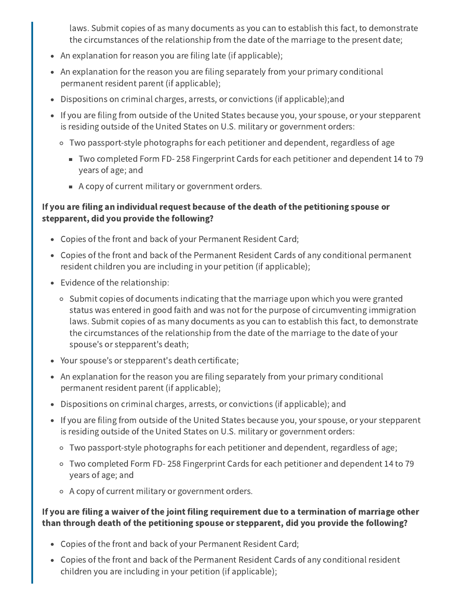laws. Submit copies of as many documents as you can to establish this fact, to demonstrate the circumstances of the relationship from the date of the marriage to the present date;

- An explanation for reason you are filing late (if applicable);
- An explanation for the reason you are filing separately from your primary conditional permanent resident parent (if applicable);
- Dispositions on criminal charges, arrests, or convictions (if applicable);and
- If you are filing from outside of the United States because you, your spouse, or your stepparent is residing outside of the United States on U.S. military or government orders:
	- Two passport-style photographs for each petitioner and dependent, regardless of age
		- Two completed Form FD- 258 Fingerprint Cards for each petitioner and dependent 14 to 79 years of age; and
		- A copy of current military or government orders.

#### If you are filing an individual request because of the death of the petitioning spouse or stepparent, did you provide the following?

- Copies of the front and back of your Permanent Resident Card;
- Copies of the front and back of the Permanent Resident Cards of any conditional permanent resident children you are including in your petition (if applicable);
- Evidence of the relationship:
	- $\circ$  Submit copies of documents indicating that the marriage upon which you were granted status was entered in good faith and was not for the purpose of circumventing immigration laws. Submit copies of as many documents as you can to establish this fact, to demonstrate the circumstances of the relationship from the date of the marriage to the date of your spouse's or stepparent's death;
- Your spouse's or stepparent's death certificate;
- An explanation for the reason you are filing separately from your primary conditional permanent resident parent (if applicable);
- Dispositions on criminal charges, arrests, or convictions (if applicable); and
- If you are filing from outside of the United States because you, your spouse, or your stepparent is residing outside of the United States on U.S. military or government orders:
	- Two passport-style photographs for each petitioner and dependent, regardless of age;
	- Two completed Form FD- 258 Fingerprint Cards for each petitioner and dependent 14 to 79 years of age; and
	- A copy of current military or government orders.

#### If you are filing a waiver of the joint filing requirement due to a termination of marriage other than through death of the petitioning spouse or stepparent, did you provide the following?

- Copies of the front and back of your Permanent Resident Card;
- Copies of the front and back of the Permanent Resident Cards of any conditional resident children you are including in your petition (if applicable);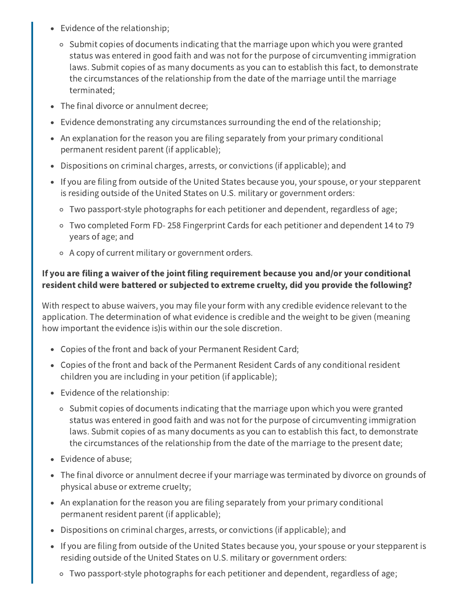- Evidence of the relationship;
	- o Submit copies of documents indicating that the marriage upon which you were granted status was entered in good faith and was not for the purpose of circumventing immigration laws. Submit copies of as many documents as you can to establish this fact, to demonstrate the circumstances of the relationship from the date of the marriage until the marriage terminated;
- The final divorce or annulment decree;
- Evidence demonstrating any circumstances surrounding the end of the relationship;
- An explanation for the reason you are filing separately from your primary conditional permanent resident parent (if applicable);
- Dispositions on criminal charges, arrests, or convictions (if applicable); and
- If you are filing from outside of the United States because you, your spouse, or your stepparent is residing outside of the United States on U.S. military or government orders:
	- Two passport-style photographs for each petitioner and dependent, regardless of age;
	- Two completed Form FD- 258 Fingerprint Cards for each petitioner and dependent 14 to 79 years of age; and
	- A copy of current military or government orders.

#### If you are filing a waiver of the joint filing requirement because you and/or your conditional resident child were battered or subjected to extreme cruelty, did you provide the following?

With respect to abuse waivers, you may file your form with any credible evidence relevant to the application. The determination of what evidence is credible and the weight to be given (meaning how important the evidence is)is within our the sole discretion.

- Copies of the front and back of your Permanent Resident Card;
- Copies of the front and back of the Permanent Resident Cards of any conditional resident children you are including in your petition (if applicable);
- Evidence of the relationship:
	- $\circ$  Submit copies of documents indicating that the marriage upon which you were granted status was entered in good faith and was not for the purpose of circumventing immigration laws. Submit copies of as many documents as you can to establish this fact, to demonstrate the circumstances of the relationship from the date of the marriage to the present date;
- Evidence of abuse;
- The final divorce or annulment decree if your marriage was terminated by divorce on grounds of physical abuse or extreme cruelty;
- An explanation for the reason you are filing separately from your primary conditional permanent resident parent (if applicable);
- Dispositions on criminal charges, arrests, or convictions (if applicable); and
- If you are filing from outside of the United States because you, your spouse or your stepparent is residing outside of the United States on U.S. military or government orders:
	- Two passport-style photographs for each petitioner and dependent, regardless of age;